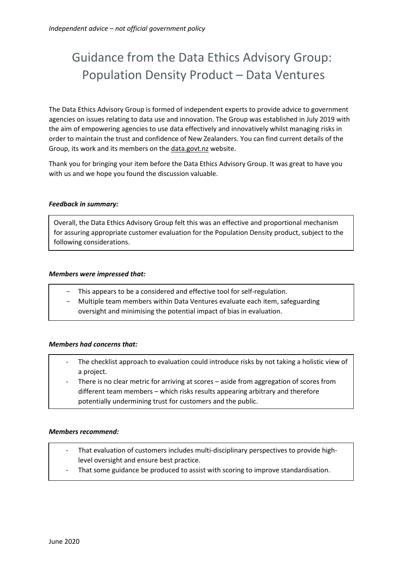# Guidance from the Data Ethics Advisory Group: Population Density Product – Data Ventures

The Data Ethics Advisory Group is formed of independent experts to provide advice to government agencies on issues relating to data use and innovation. The Group was established in July 2019 with the aim of empowering agencies to use data effectively and innovatively whilst managing risks in order to maintain the trust and confidence of New Zealanders. You can find current details of the Group, its work and its members on the [data.govt.nz](https://data.govt.nz/about/government-chief-data-steward-gcds/data-ethics-advisory-group/meeting-agendas-and-minutes/) website.

Thank you for bringing your item before the Data Ethics Advisory Group. It was great to have you with us and we hope you found the discussion valuable.

## *Feedback in summary:*

Overall, the Data Ethics Advisory Group felt this was an effective and proportional mechanism for assuring appropriate customer evaluation for the Population Density product, subject to the following considerations.

## *Members were impressed that:*

- This appears to be a considered and effective tool for self-regulation.
- Multiple team members within Data Ventures evaluate each item, safeguarding oversight and minimising the potential impact of bias in evaluation.

# *Members had concerns that:*

- The checklist approach to evaluation could introduce risks by not taking a holistic view of a project.
- There is no clear metric for arriving at scores aside from aggregation of scores from different team members – which risks results appearing arbitrary and therefore potentially undermining trust for customers and the public.

## *Members recommend:*

- That evaluation of customers includes multi-disciplinary perspectives to provide highlevel oversight and ensure best practice.
- That some guidance be produced to assist with scoring to improve standardisation.